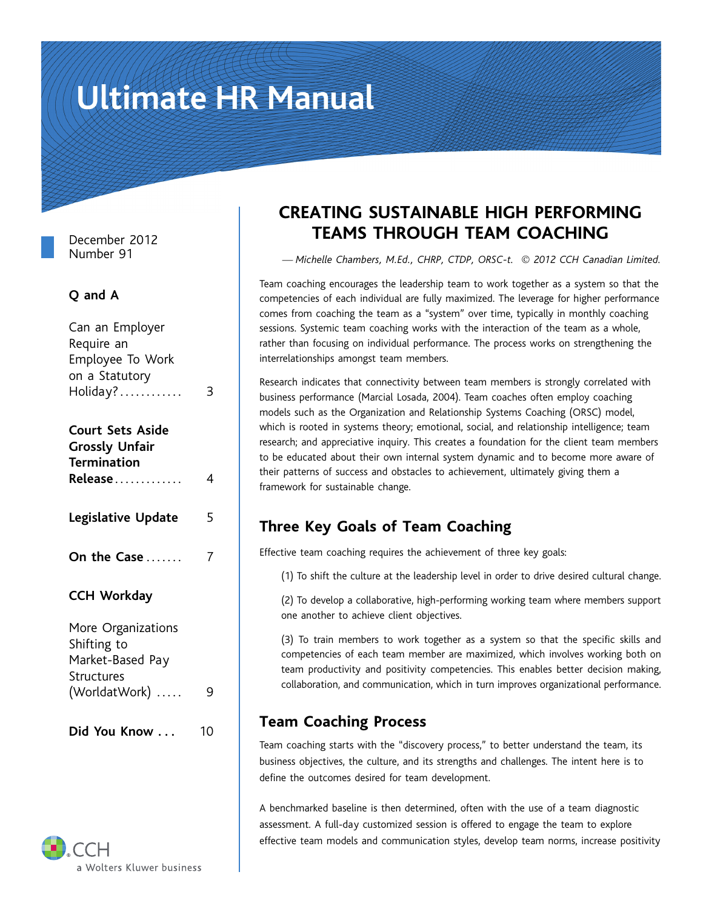# Ultimate HR Manual

| Can an Employer<br>Require an<br>Employee To Work<br>on a Statutory<br>Holiday? | 3 |
|---------------------------------------------------------------------------------|---|
| <b>Court Sets Aside</b><br><b>Grossly Unfair</b><br><b>Termination</b>          |   |
| Release                                                                         | 4 |
| Legislative Update                                                              | 5 |
| On the Case                                                                     | 7 |
| <b>CCH Workday</b>                                                              |   |
| More Organizations<br>Shifting to<br>Market-Based Pay<br>Structures             |   |
| (WorldatWork)                                                                   | 9 |

# a Wolters Kluwer business

## **CREATING SUSTAINABLE HIGH PERFORMING** December 2012 **TEAMS THROUGH TEAM COACHING**<br>Number 91

Number 91 *— Michelle Chambers, M.Ed., CHRP, CTDP, ORSC-t.* © *2012 CCH Canadian Limited.*

Team coaching encourages the leadership team to work together as a system so that the **Q and A** competencies of each individual are fully maximized. The leverage for higher performance comes from coaching the team as a "system" over time, typically in monthly coaching sessions. Systemic team coaching works with the interaction of the team as a whole, rather than focusing on individual performance. The process works on strengthening the interrelationships amongst team members.

> Research indicates that connectivity between team members is strongly correlated with business performance (Marcial Losada, 2004). Team coaches often employ coaching models such as the Organization and Relationship Systems Coaching (ORSC) model, which is rooted in systems theory; emotional, social, and relationship intelligence; team<br>research; and appreciative inquiry. This creates a foundation for the client team members to be educated about their own internal system dynamic and to become more aware of their patterns of success and obstacles to achievement, ultimately giving them a framework for sustainable change.

#### **Three Key Goals of Team Coaching**

Effective team coaching requires the achievement of three key goals:

(1) To shift the culture at the leadership level in order to drive desired cultural change.

(2) To develop a collaborative, high-performing working team where members support one another to achieve client objectives.

More Organizations<br>
Shifting to<br>
Market-Based Pay<br>
Structures (WorldatWork) .... 9<br>
Market-Based Pay<br>
Structures (WorldatWork) .... 9<br>
Collaboration, and communication, which in turn improves organizational performance.

### **Team Coaching Process Did You Know . . .** <sup>10</sup>

Team coaching starts with the "discovery process," to better understand the team, its business objectives, the culture, and its strengths and challenges. The intent here is to define the outcomes desired for team development.

A benchmarked baseline is then determined, often with the use of a team diagnostic assessment. A full-day customized session is offered to engage the team to explore effective team models and communication styles, develop team norms, increase positivity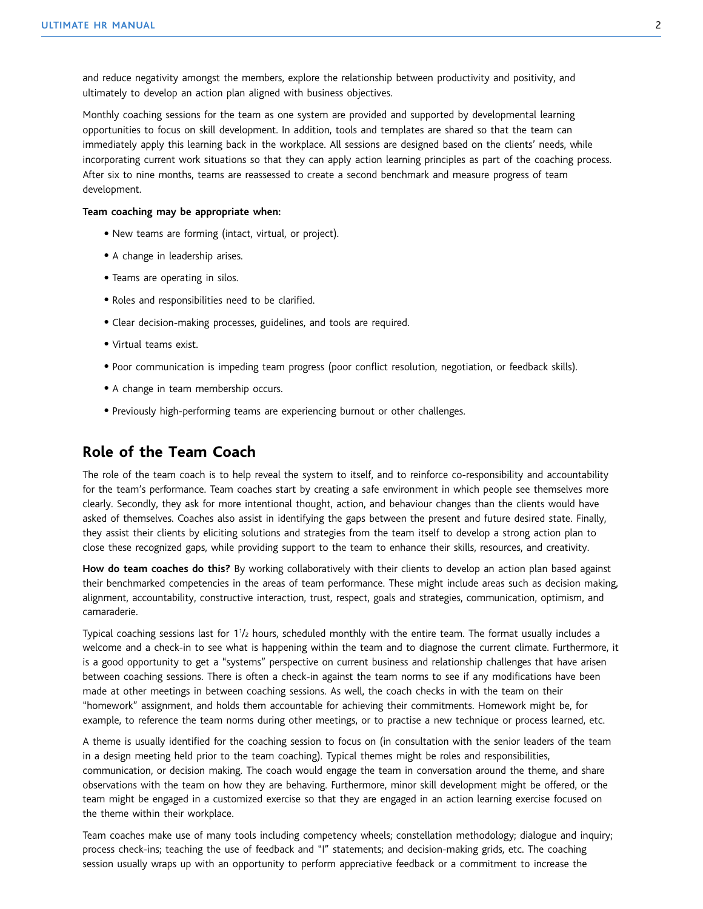and reduce negativity amongst the members, explore the relationship between productivity and positivity, and ultimately to develop an action plan aligned with business objectives.

Monthly coaching sessions for the team as one system are provided and supported by developmental learning opportunities to focus on skill development. In addition, tools and templates are shared so that the team can immediately apply this learning back in the workplace. All sessions are designed based on the clients' needs, while incorporating current work situations so that they can apply action learning principles as part of the coaching process. After six to nine months, teams are reassessed to create a second benchmark and measure progress of team development.

#### **Team coaching may be appropriate when:**

- New teams are forming (intact, virtual, or project).
- A change in leadership arises.
- Teams are operating in silos.
- Roles and responsibilities need to be clarified.
- Clear decision-making processes, guidelines, and tools are required.
- Virtual teams exist.
- Poor communication is impeding team progress (poor conflict resolution, negotiation, or feedback skills).
- A change in team membership occurs.
- Previously high-performing teams are experiencing burnout or other challenges.

#### **Role of the Team Coach**

The role of the team coach is to help reveal the system to itself, and to reinforce co-responsibility and accountability for the team's performance. Team coaches start by creating a safe environment in which people see themselves more clearly. Secondly, they ask for more intentional thought, action, and behaviour changes than the clients would have asked of themselves. Coaches also assist in identifying the gaps between the present and future desired state. Finally, they assist their clients by eliciting solutions and strategies from the team itself to develop a strong action plan to close these recognized gaps, while providing support to the team to enhance their skills, resources, and creativity.

**How do team coaches do this?** By working collaboratively with their clients to develop an action plan based against their benchmarked competencies in the areas of team performance. These might include areas such as decision making, alignment, accountability, constructive interaction, trust, respect, goals and strategies, communication, optimism, and camaraderie.

Typical coaching sessions last for 1½ hours, scheduled monthly with the entire team. The format usually includes a welcome and a check-in to see what is happening within the team and to diagnose the current climate. Furthermore, it is a good opportunity to get a "systems" perspective on current business and relationship challenges that have arisen between coaching sessions. There is often a check-in against the team norms to see if any modifications have been made at other meetings in between coaching sessions. As well, the coach checks in with the team on their "homework" assignment, and holds them accountable for achieving their commitments. Homework might be, for example, to reference the team norms during other meetings, or to practise a new technique or process learned, etc.

A theme is usually identified for the coaching session to focus on (in consultation with the senior leaders of the team in a design meeting held prior to the team coaching). Typical themes might be roles and responsibilities, communication, or decision making. The coach would engage the team in conversation around the theme, and share observations with the team on how they are behaving. Furthermore, minor skill development might be offered, or the team might be engaged in a customized exercise so that they are engaged in an action learning exercise focused on the theme within their workplace.

Team coaches make use of many tools including competency wheels; constellation methodology; dialogue and inquiry; process check-ins; teaching the use of feedback and "I" statements; and decision-making grids, etc. The coaching session usually wraps up with an opportunity to perform appreciative feedback or a commitment to increase the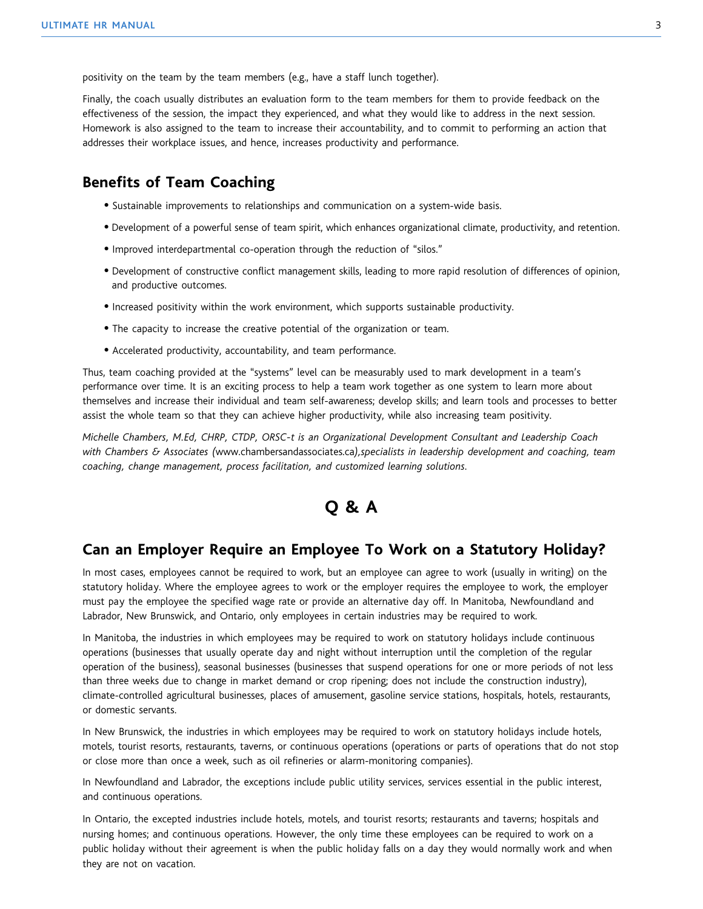positivity on the team by the team members (e.g., have a staff lunch together).

Finally, the coach usually distributes an evaluation form to the team members for them to provide feedback on the effectiveness of the session, the impact they experienced, and what they would like to address in the next session. Homework is also assigned to the team to increase their accountability, and to commit to performing an action that addresses their workplace issues, and hence, increases productivity and performance.

#### **Benefits of Team Coaching**

- Sustainable improvements to relationships and communication on a system-wide basis.
- Development of a powerful sense of team spirit, which enhances organizational climate, productivity, and retention.
- Improved interdepartmental co-operation through the reduction of "silos."
- Development of constructive conflict management skills, leading to more rapid resolution of differences of opinion, and productive outcomes.
- Increased positivity within the work environment, which supports sustainable productivity.
- The capacity to increase the creative potential of the organization or team.
- Accelerated productivity, accountability, and team performance.

Thus, team coaching provided at the "systems" level can be measurably used to mark development in a team's performance over time. It is an exciting process to help a team work together as one system to learn more about themselves and increase their individual and team self-awareness; develop skills; and learn tools and processes to better assist the whole team so that they can achieve higher productivity, while also increasing team positivity.

*Michelle Chambers, M.Ed, CHRP, CTDP, ORSC-t is an Organizational Development Consultant and Leadership Coach with Chambers & Associates (*www.chambersandassociates.ca*),specialists in leadership development and coaching, team coaching, change management, process facilitation, and customized learning solutions.*

#### **Q & A**

#### **Can an Employer Require an Employee To Work on a Statutory Holiday?**

In most cases, employees cannot be required to work, but an employee can agree to work (usually in writing) on the statutory holiday. Where the employee agrees to work or the employer requires the employee to work, the employer must pay the employee the specified wage rate or provide an alternative day off. In Manitoba, Newfoundland and Labrador, New Brunswick, and Ontario, only employees in certain industries may be required to work.

In Manitoba, the industries in which employees may be required to work on statutory holidays include continuous operations (businesses that usually operate day and night without interruption until the completion of the regular operation of the business), seasonal businesses (businesses that suspend operations for one or more periods of not less than three weeks due to change in market demand or crop ripening; does not include the construction industry), climate-controlled agricultural businesses, places of amusement, gasoline service stations, hospitals, hotels, restaurants, or domestic servants.

In New Brunswick, the industries in which employees may be required to work on statutory holidays include hotels, motels, tourist resorts, restaurants, taverns, or continuous operations (operations or parts of operations that do not stop or close more than once a week, such as oil refineries or alarm-monitoring companies).

In Newfoundland and Labrador, the exceptions include public utility services, services essential in the public interest, and continuous operations.

In Ontario, the excepted industries include hotels, motels, and tourist resorts; restaurants and taverns; hospitals and nursing homes; and continuous operations. However, the only time these employees can be required to work on a public holiday without their agreement is when the public holiday falls on a day they would normally work and when they are not on vacation.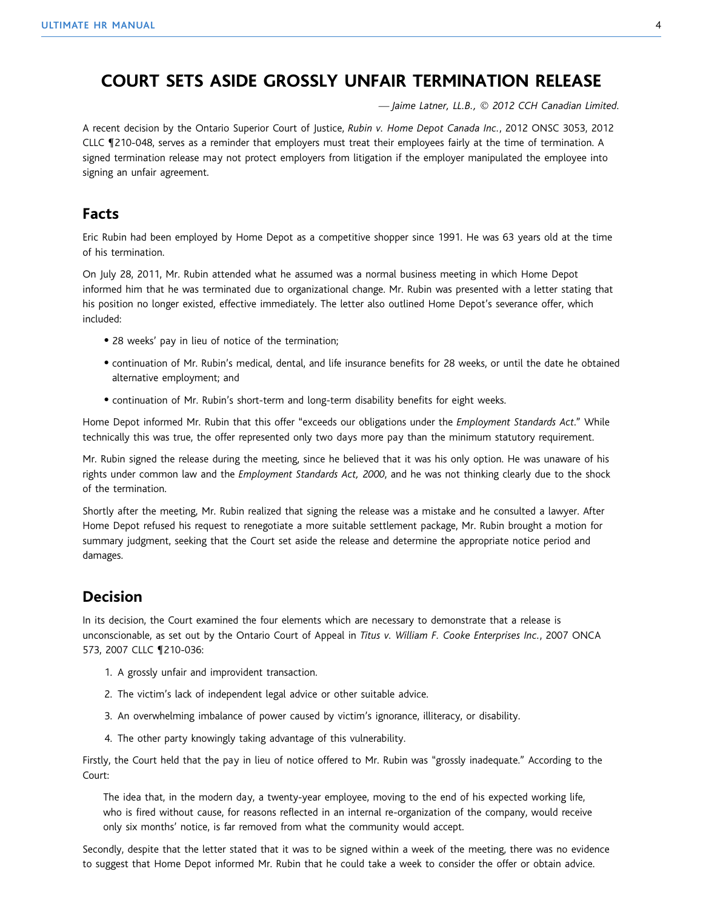#### **COURT SETS ASIDE GROSSLY UNFAIR TERMINATION RELEASE**

*— Jaime Latner, LL.B.,* © *2012 CCH Canadian Limited.*

A recent decision by the Ontario Superior Court of Justice, *Rubin v. Home Depot Canada Inc.*, 2012 ONSC 3053, 2012 CLLC ¶210-048, serves as a reminder that employers must treat their employees fairly at the time of termination. A signed termination release may not protect employers from litigation if the employer manipulated the employee into signing an unfair agreement.

#### **Facts**

Eric Rubin had been employed by Home Depot as a competitive shopper since 1991. He was 63 years old at the time of his termination.

On July 28, 2011, Mr. Rubin attended what he assumed was a normal business meeting in which Home Depot informed him that he was terminated due to organizational change. Mr. Rubin was presented with a letter stating that his position no longer existed, effective immediately. The letter also outlined Home Depot's severance offer, which included:

- 28 weeks' pay in lieu of notice of the termination;
- continuation of Mr. Rubin's medical, dental, and life insurance benefits for 28 weeks, or until the date he obtained alternative employment; and
- continuation of Mr. Rubin's short-term and long-term disability benefits for eight weeks.

Home Depot informed Mr. Rubin that this offer "exceeds our obligations under the *Employment Standards Act*." While technically this was true, the offer represented only two days more pay than the minimum statutory requirement.

Mr. Rubin signed the release during the meeting, since he believed that it was his only option. He was unaware of his rights under common law and the *Employment Standards Act, 2000*, and he was not thinking clearly due to the shock of the termination.

Shortly after the meeting, Mr. Rubin realized that signing the release was a mistake and he consulted a lawyer. After Home Depot refused his request to renegotiate a more suitable settlement package, Mr. Rubin brought a motion for summary judgment, seeking that the Court set aside the release and determine the appropriate notice period and damages.

#### **Decision**

In its decision, the Court examined the four elements which are necessary to demonstrate that a release is unconscionable, as set out by the Ontario Court of Appeal in *Titus v. William F. Cooke Enterprises Inc.*, 2007 ONCA 573, 2007 CLLC ¶210-036:

- 1. A grossly unfair and improvident transaction.
- 2. The victim's lack of independent legal advice or other suitable advice.
- 3. An overwhelming imbalance of power caused by victim's ignorance, illiteracy, or disability.
- 4. The other party knowingly taking advantage of this vulnerability.

Firstly, the Court held that the pay in lieu of notice offered to Mr. Rubin was "grossly inadequate." According to the Court:

The idea that, in the modern day, a twenty-year employee, moving to the end of his expected working life, who is fired without cause, for reasons reflected in an internal re-organization of the company, would receive only six months' notice, is far removed from what the community would accept.

Secondly, despite that the letter stated that it was to be signed within a week of the meeting, there was no evidence to suggest that Home Depot informed Mr. Rubin that he could take a week to consider the offer or obtain advice.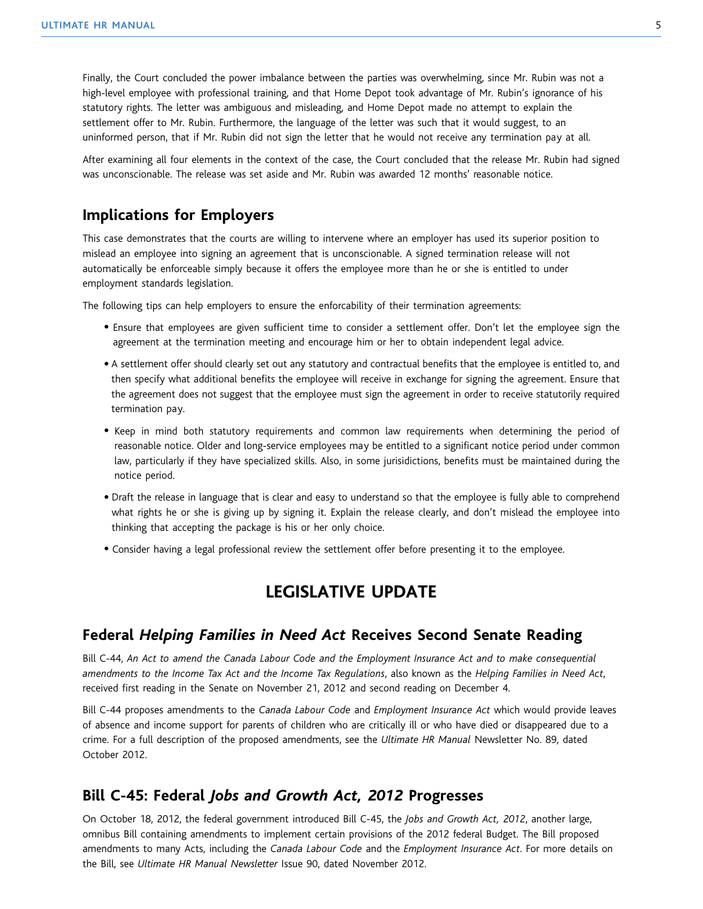Finally, the Court concluded the power imbalance between the parties was overwhelming, since Mr. Rubin was not a high-level employee with professional training, and that Home Depot took advantage of Mr. Rubin's ignorance of his statutory rights. The letter was ambiguous and misleading, and Home Depot made no attempt to explain the settlement offer to Mr. Rubin. Furthermore, the language of the letter was such that it would suggest, to an uninformed person, that if Mr. Rubin did not sign the letter that he would not receive any termination pay at all.

After examining all four elements in the context of the case, the Court concluded that the release Mr. Rubin had signed was unconscionable. The release was set aside and Mr. Rubin was awarded 12 months' reasonable notice.

#### **Implications for Employers**

This case demonstrates that the courts are willing to intervene where an employer has used its superior position to mislead an employee into signing an agreement that is unconscionable. A signed termination release will not automatically be enforceable simply because it offers the employee more than he or she is entitled to under employment standards legislation.

The following tips can help employers to ensure the enforcability of their termination agreements:

- Ensure that employees are given sufficient time to consider a settlement offer. Don't let the employee sign the agreement at the termination meeting and encourage him or her to obtain independent legal advice.
- A settlement offer should clearly set out any statutory and contractual benefits that the employee is entitled to, and then specify what additional benefits the employee will receive in exchange for signing the agreement. Ensure that the agreement does not suggest that the employee must sign the agreement in order to receive statutorily required termination pay.
- Keep in mind both statutory requirements and common law requirements when determining the period of reasonable notice. Older and long-service employees may be entitled to a significant notice period under common law, particularly if they have specialized skills. Also, in some jurisidictions, benefits must be maintained during the notice period.
- Draft the release in language that is clear and easy to understand so that the employee is fully able to comprehend what rights he or she is giving up by signing it. Explain the release clearly, and don't mislead the employee into thinking that accepting the package is his or her only choice.
- Consider having a legal professional review the settlement offer before presenting it to the employee.

#### **LEGISLATIVE UPDATE**

#### **Federal** *Helping Families in Need Act* **Receives Second Senate Reading**

Bill C-44, *An Act to amend the Canada Labour Code and the Employment Insurance Act and to make consequential amendments to the Income Tax Act and the Income Tax Regulations*, also known as the *Helping Families in Need Act*, received first reading in the Senate on November 21, 2012 and second reading on December 4.

Bill C-44 proposes amendments to the *Canada Labour Code* and *Employment Insurance Act* which would provide leaves of absence and income support for parents of children who are critically ill or who have died or disappeared due to a crime. For a full description of the proposed amendments, see the *Ultimate HR Manual* Newsletter No. 89, dated October 2012.

#### **Bill C-45: Federal** *Jobs and Growth Act, 2012* **Progresses**

On October 18, 2012, the federal government introduced Bill C-45, the *Jobs and Growth Act, 2012*, another large, omnibus Bill containing amendments to implement certain provisions of the 2012 federal Budget. The Bill proposed amendments to many Acts, including the *Canada Labour Code* and the *Employment Insurance Act*. For more details on the Bill, see *Ultimate HR Manual Newsletter* Issue 90, dated November 2012.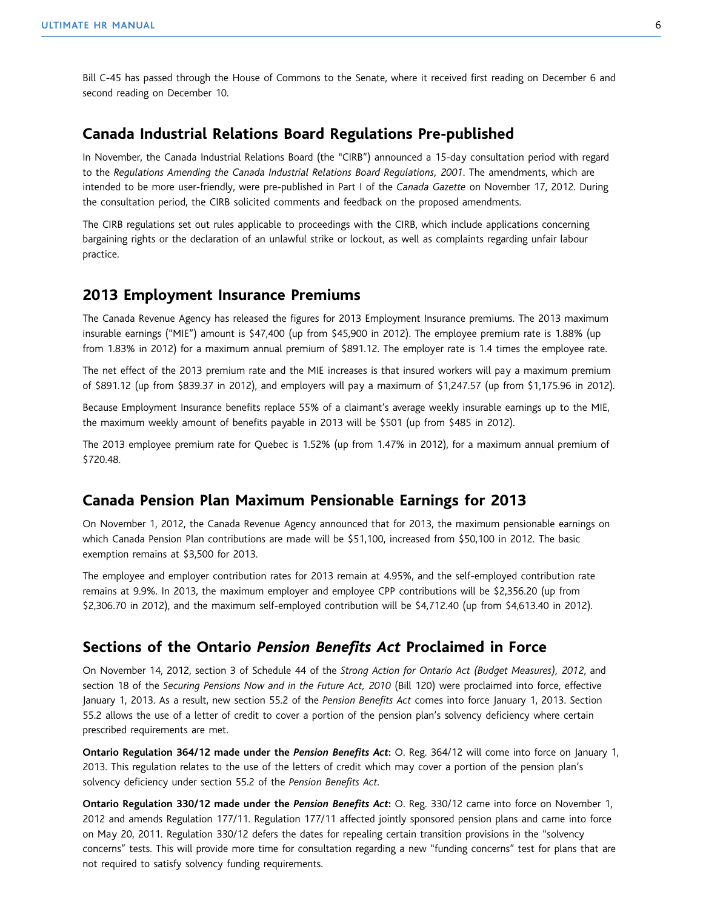Bill C-45 has passed through the House of Commons to the Senate, where it received first reading on December 6 and second reading on December 10.

#### **Canada Industrial Relations Board Regulations Pre-published**

In November, the Canada Industrial Relations Board (the "CIRB") announced a 15-day consultation period with regard to the *Regulations Amending the Canada Industrial Relations Board Regulations, 2001*. The amendments, which are intended to be more user-friendly, were pre-published in Part I of the *Canada Gazette* on November 17, 2012. During the consultation period, the CIRB solicited comments and feedback on the proposed amendments.

The CIRB regulations set out rules applicable to proceedings with the CIRB, which include applications concerning bargaining rights or the declaration of an unlawful strike or lockout, as well as complaints regarding unfair labour practice.

#### **2013 Employment Insurance Premiums**

The Canada Revenue Agency has released the figures for 2013 Employment Insurance premiums. The 2013 maximum insurable earnings ("MIE") amount is \$47,400 (up from \$45,900 in 2012). The employee premium rate is 1.88% (up from 1.83% in 2012) for a maximum annual premium of \$891.12. The employer rate is 1.4 times the employee rate.

The net effect of the 2013 premium rate and the MIE increases is that insured workers will pay a maximum premium of \$891.12 (up from \$839.37 in 2012), and employers will pay a maximum of \$1,247.57 (up from \$1,175.96 in 2012).

Because Employment Insurance benefits replace 55% of a claimant's average weekly insurable earnings up to the MIE, the maximum weekly amount of benefits payable in 2013 will be \$501 (up from \$485 in 2012).

The 2013 employee premium rate for Quebec is 1.52% (up from 1.47% in 2012), for a maximum annual premium of \$720.48.

#### **Canada Pension Plan Maximum Pensionable Earnings for 2013**

On November 1, 2012, the Canada Revenue Agency announced that for 2013, the maximum pensionable earnings on which Canada Pension Plan contributions are made will be \$51,100, increased from \$50,100 in 2012. The basic exemption remains at \$3,500 for 2013.

The employee and employer contribution rates for 2013 remain at 4.95%, and the self-employed contribution rate remains at 9.9%. In 2013, the maximum employer and employee CPP contributions will be \$2,356.20 (up from \$2,306.70 in 2012), and the maximum self-employed contribution will be \$4,712.40 (up from \$4,613.40 in 2012).

#### **Sections of the Ontario** *Pension Benefits Act* **Proclaimed in Force**

On November 14, 2012, section 3 of Schedule 44 of the *Strong Action for Ontario Act (Budget Measures), 2012*, and section 18 of the *Securing Pensions Now and in the Future Act, 2010* (Bill 120) were proclaimed into force, effective January 1, 2013. As a result, new section 55.2 of the *Pension Benefits Act* comes into force January 1, 2013. Section 55.2 allows the use of a letter of credit to cover a portion of the pension plan's solvency deficiency where certain prescribed requirements are met.

**Ontario Regulation 364/12 made under the** *Pension Benefits Act***:** O. Reg. 364/12 will come into force on January 1, 2013. This regulation relates to the use of the letters of credit which may cover a portion of the pension plan's solvency deficiency under section 55.2 of the *Pension Benefits Act.*

**Ontario Regulation 330/12 made under the** *Pension Benefits Act***:** O. Reg. 330/12 came into force on November 1, 2012 and amends Regulation 177/11. Regulation 177/11 affected jointly sponsored pension plans and came into force on May 20, 2011. Regulation 330/12 defers the dates for repealing certain transition provisions in the "solvency concerns" tests. This will provide more time for consultation regarding a new "funding concerns" test for plans that are not required to satisfy solvency funding requirements.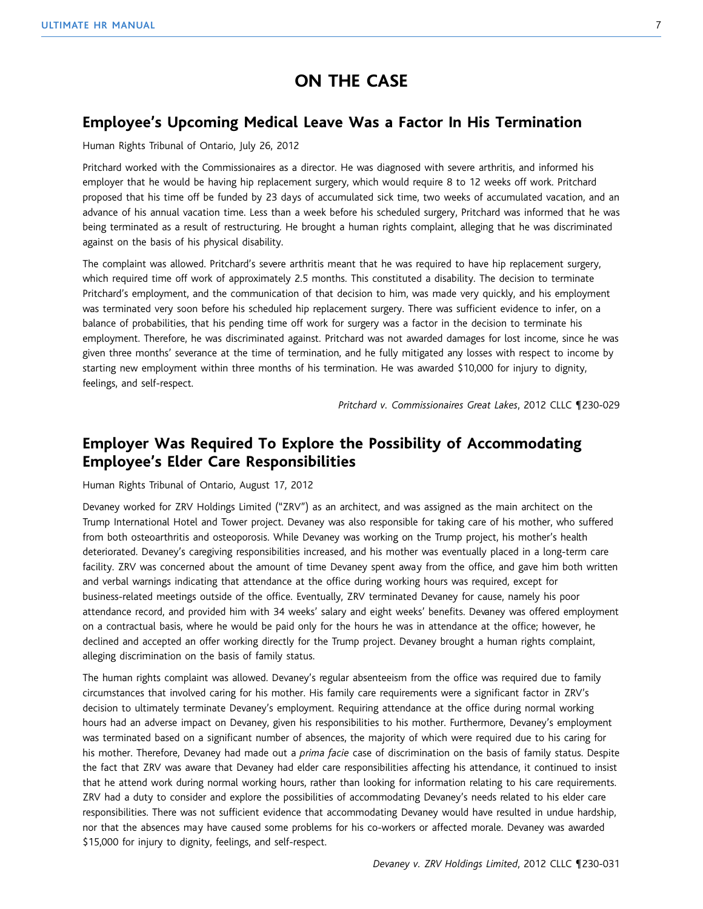### **ON THE CASE**

#### **Employee's Upcoming Medical Leave Was a Factor In His Termination**

#### Human Rights Tribunal of Ontario, July 26, 2012

Pritchard worked with the Commissionaires as a director. He was diagnosed with severe arthritis, and informed his employer that he would be having hip replacement surgery, which would require 8 to 12 weeks off work. Pritchard proposed that his time off be funded by 23 days of accumulated sick time, two weeks of accumulated vacation, and an advance of his annual vacation time. Less than a week before his scheduled surgery, Pritchard was informed that he was being terminated as a result of restructuring. He brought a human rights complaint, alleging that he was discriminated against on the basis of his physical disability.

The complaint was allowed. Pritchard's severe arthritis meant that he was required to have hip replacement surgery, which required time off work of approximately 2.5 months. This constituted a disability. The decision to terminate Pritchard's employment, and the communication of that decision to him, was made very quickly, and his employment was terminated very soon before his scheduled hip replacement surgery. There was sufficient evidence to infer, on a balance of probabilities, that his pending time off work for surgery was a factor in the decision to terminate his employment. Therefore, he was discriminated against. Pritchard was not awarded damages for lost income, since he was given three months' severance at the time of termination, and he fully mitigated any losses with respect to income by starting new employment within three months of his termination. He was awarded \$10,000 for injury to dignity, feelings, and self-respect.

*Pritchard v. Commissionaires Great Lakes*, 2012 CLLC ¶230-029

#### **Employer Was Required To Explore the Possibility of Accommodating Employee's Elder Care Responsibilities**

#### Human Rights Tribunal of Ontario, August 17, 2012

Devaney worked for ZRV Holdings Limited ("ZRV") as an architect, and was assigned as the main architect on the Trump International Hotel and Tower project. Devaney was also responsible for taking care of his mother, who suffered from both osteoarthritis and osteoporosis. While Devaney was working on the Trump project, his mother's health deteriorated. Devaney's caregiving responsibilities increased, and his mother was eventually placed in a long-term care facility. ZRV was concerned about the amount of time Devaney spent away from the office, and gave him both written and verbal warnings indicating that attendance at the office during working hours was required, except for business-related meetings outside of the office. Eventually, ZRV terminated Devaney for cause, namely his poor attendance record, and provided him with 34 weeks' salary and eight weeks' benefits. Devaney was offered employment on a contractual basis, where he would be paid only for the hours he was in attendance at the office; however, he declined and accepted an offer working directly for the Trump project. Devaney brought a human rights complaint, alleging discrimination on the basis of family status.

The human rights complaint was allowed. Devaney's regular absenteeism from the office was required due to family circumstances that involved caring for his mother. His family care requirements were a significant factor in ZRV's decision to ultimately terminate Devaney's employment. Requiring attendance at the office during normal working hours had an adverse impact on Devaney, given his responsibilities to his mother. Furthermore, Devaney's employment was terminated based on a significant number of absences, the majority of which were required due to his caring for his mother. Therefore, Devaney had made out a *prima facie* case of discrimination on the basis of family status. Despite the fact that ZRV was aware that Devaney had elder care responsibilities affecting his attendance, it continued to insist that he attend work during normal working hours, rather than looking for information relating to his care requirements. ZRV had a duty to consider and explore the possibilities of accommodating Devaney's needs related to his elder care responsibilities. There was not sufficient evidence that accommodating Devaney would have resulted in undue hardship, nor that the absences may have caused some problems for his co-workers or affected morale. Devaney was awarded \$15,000 for injury to dignity, feelings, and self-respect.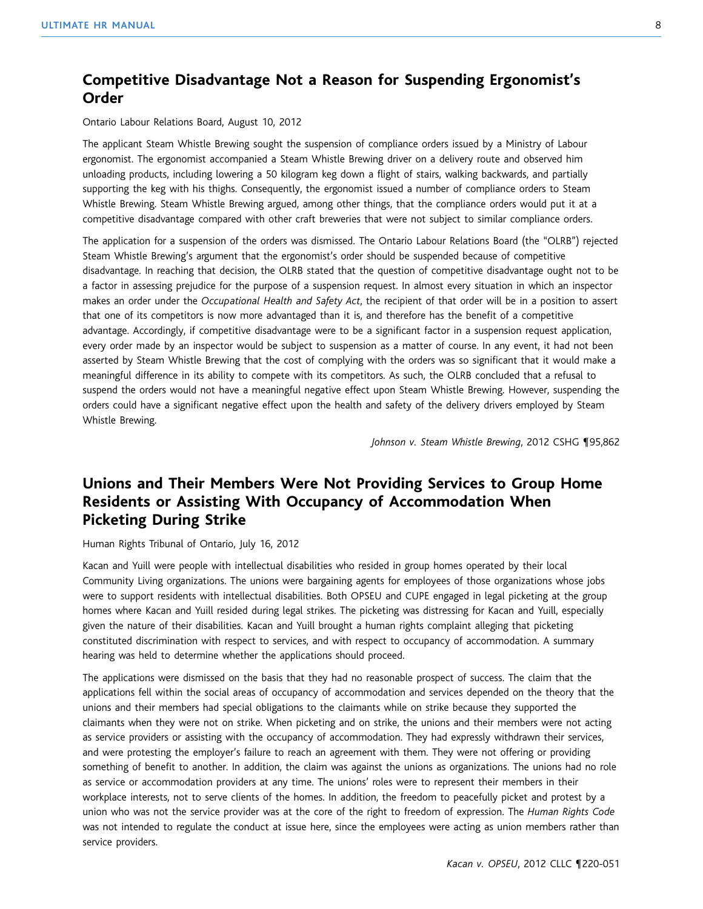#### **Competitive Disadvantage Not a Reason for Suspending Ergonomist's Order**

Ontario Labour Relations Board, August 10, 2012

The applicant Steam Whistle Brewing sought the suspension of compliance orders issued by a Ministry of Labour ergonomist. The ergonomist accompanied a Steam Whistle Brewing driver on a delivery route and observed him unloading products, including lowering a 50 kilogram keg down a flight of stairs, walking backwards, and partially supporting the keg with his thighs. Consequently, the ergonomist issued a number of compliance orders to Steam Whistle Brewing. Steam Whistle Brewing argued, among other things, that the compliance orders would put it at a competitive disadvantage compared with other craft breweries that were not subject to similar compliance orders.

The application for a suspension of the orders was dismissed. The Ontario Labour Relations Board (the "OLRB") rejected Steam Whistle Brewing's argument that the ergonomist's order should be suspended because of competitive disadvantage. In reaching that decision, the OLRB stated that the question of competitive disadvantage ought not to be a factor in assessing prejudice for the purpose of a suspension request. In almost every situation in which an inspector makes an order under the *Occupational Health and Safety Act*, the recipient of that order will be in a position to assert that one of its competitors is now more advantaged than it is, and therefore has the benefit of a competitive advantage. Accordingly, if competitive disadvantage were to be a significant factor in a suspension request application, every order made by an inspector would be subject to suspension as a matter of course. In any event, it had not been asserted by Steam Whistle Brewing that the cost of complying with the orders was so significant that it would make a meaningful difference in its ability to compete with its competitors. As such, the OLRB concluded that a refusal to suspend the orders would not have a meaningful negative effect upon Steam Whistle Brewing. However, suspending the orders could have a significant negative effect upon the health and safety of the delivery drivers employed by Steam Whistle Brewing.

*Johnson v. Steam Whistle Brewing*, 2012 CSHG ¶95,862

#### **Unions and Their Members Were Not Providing Services to Group Home Residents or Assisting With Occupancy of Accommodation When Picketing During Strike**

Human Rights Tribunal of Ontario, July 16, 2012

Kacan and Yuill were people with intellectual disabilities who resided in group homes operated by their local Community Living organizations. The unions were bargaining agents for employees of those organizations whose jobs were to support residents with intellectual disabilities. Both OPSEU and CUPE engaged in legal picketing at the group homes where Kacan and Yuill resided during legal strikes. The picketing was distressing for Kacan and Yuill, especially given the nature of their disabilities. Kacan and Yuill brought a human rights complaint alleging that picketing constituted discrimination with respect to services, and with respect to occupancy of accommodation. A summary hearing was held to determine whether the applications should proceed.

The applications were dismissed on the basis that they had no reasonable prospect of success. The claim that the applications fell within the social areas of occupancy of accommodation and services depended on the theory that the unions and their members had special obligations to the claimants while on strike because they supported the claimants when they were not on strike. When picketing and on strike, the unions and their members were not acting as service providers or assisting with the occupancy of accommodation. They had expressly withdrawn their services, and were protesting the employer's failure to reach an agreement with them. They were not offering or providing something of benefit to another. In addition, the claim was against the unions as organizations. The unions had no role as service or accommodation providers at any time. The unions' roles were to represent their members in their workplace interests, not to serve clients of the homes. In addition, the freedom to peacefully picket and protest by a union who was not the service provider was at the core of the right to freedom of expression. The *Human Rights Code* was not intended to regulate the conduct at issue here, since the employees were acting as union members rather than service providers.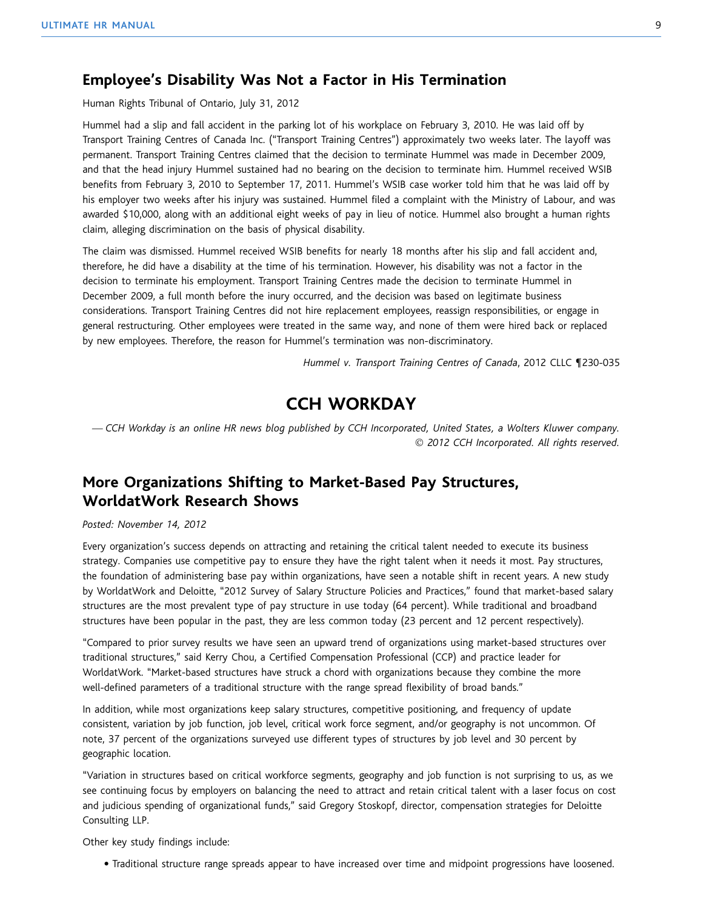#### **Employee's Disability Was Not a Factor in His Termination**

Human Rights Tribunal of Ontario, July 31, 2012

Hummel had a slip and fall accident in the parking lot of his workplace on February 3, 2010. He was laid off by Transport Training Centres of Canada Inc. ("Transport Training Centres") approximately two weeks later. The layoff was permanent. Transport Training Centres claimed that the decision to terminate Hummel was made in December 2009, and that the head injury Hummel sustained had no bearing on the decision to terminate him. Hummel received WSIB benefits from February 3, 2010 to September 17, 2011. Hummel's WSIB case worker told him that he was laid off by his employer two weeks after his injury was sustained. Hummel filed a complaint with the Ministry of Labour, and was awarded \$10,000, along with an additional eight weeks of pay in lieu of notice. Hummel also brought a human rights claim, alleging discrimination on the basis of physical disability.

The claim was dismissed. Hummel received WSIB benefits for nearly 18 months after his slip and fall accident and, therefore, he did have a disability at the time of his termination. However, his disability was not a factor in the decision to terminate his employment. Transport Training Centres made the decision to terminate Hummel in December 2009, a full month before the inury occurred, and the decision was based on legitimate business considerations. Transport Training Centres did not hire replacement employees, reassign responsibilities, or engage in general restructuring. Other employees were treated in the same way, and none of them were hired back or replaced by new employees. Therefore, the reason for Hummel's termination was non-discriminatory.

*Hummel v. Transport Training Centres of Canada*, 2012 CLLC ¶230-035

#### **CCH WORKDAY**

*— CCH Workday is an online HR news blog published by CCH Incorporated, United States, a Wolters Kluwer company.* © *2012 CCH Incorporated. All rights reserved.*

#### **More Organizations Shifting to Market-Based Pay Structures, WorldatWork Research Shows**

#### *Posted: November 14, 2012*

Every organization's success depends on attracting and retaining the critical talent needed to execute its business strategy. Companies use competitive pay to ensure they have the right talent when it needs it most. Pay structures, the foundation of administering base pay within organizations, have seen a notable shift in recent years. A new study by WorldatWork and Deloitte, "2012 Survey of Salary Structure Policies and Practices," found that market-based salary structures are the most prevalent type of pay structure in use today (64 percent). While traditional and broadband structures have been popular in the past, they are less common today (23 percent and 12 percent respectively).

"Compared to prior survey results we have seen an upward trend of organizations using market-based structures over traditional structures," said Kerry Chou, a Certified Compensation Professional (CCP) and practice leader for WorldatWork. "Market-based structures have struck a chord with organizations because they combine the more well-defined parameters of a traditional structure with the range spread flexibility of broad bands."

In addition, while most organizations keep salary structures, competitive positioning, and frequency of update consistent, variation by job function, job level, critical work force segment, and/or geography is not uncommon. Of note, 37 percent of the organizations surveyed use different types of structures by job level and 30 percent by geographic location.

"Variation in structures based on critical workforce segments, geography and job function is not surprising to us, as we see continuing focus by employers on balancing the need to attract and retain critical talent with a laser focus on cost and judicious spending of organizational funds," said Gregory Stoskopf, director, compensation strategies for Deloitte Consulting LLP.

Other key study findings include:

● Traditional structure range spreads appear to have increased over time and midpoint progressions have loosened.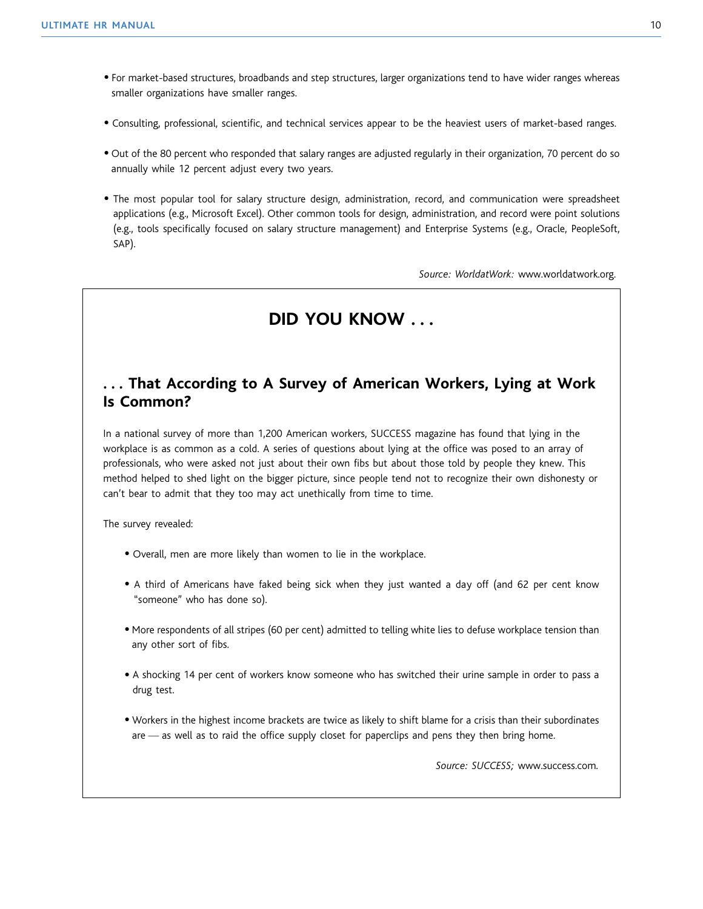- For market-based structures, broadbands and step structures, larger organizations tend to have wider ranges whereas smaller organizations have smaller ranges.
- Consulting, professional, scientific, and technical services appear to be the heaviest users of market-based ranges.
- Out of the 80 percent who responded that salary ranges are adjusted regularly in their organization, 70 percent do so annually while 12 percent adjust every two years.
- The most popular tool for salary structure design, administration, record, and communication were spreadsheet applications (e.g., Microsoft Excel). Other common tools for design, administration, and record were point solutions (e.g., tools specifically focused on salary structure management) and Enterprise Systems (e.g., Oracle, PeopleSoft, SAP).

*Source: WorldatWork:* www.worldatwork.org.

#### **DID YOU KNOW . . .**

#### **. . . That According to A Survey of American Workers, Lying at Work Is Common?**

In a national survey of more than 1,200 American workers, SUCCESS magazine has found that lying in the workplace is as common as a cold. A series of questions about lying at the office was posed to an array of professionals, who were asked not just about their own fibs but about those told by people they knew. This method helped to shed light on the bigger picture, since people tend not to recognize their own dishonesty or can't bear to admit that they too may act unethically from time to time.

The survey revealed:

- Overall, men are more likely than women to lie in the workplace.
- A third of Americans have faked being sick when they just wanted a day off (and 62 per cent know "someone" who has done so).
- More respondents of all stripes (60 per cent) admitted to telling white lies to defuse workplace tension than any other sort of fibs.
- A shocking 14 per cent of workers know someone who has switched their urine sample in order to pass a drug test.
- Workers in the highest income brackets are twice as likely to shift blame for a crisis than their subordinates are — as well as to raid the office supply closet for paperclips and pens they then bring home.

*Source: SUCCESS;* www.success.com*.*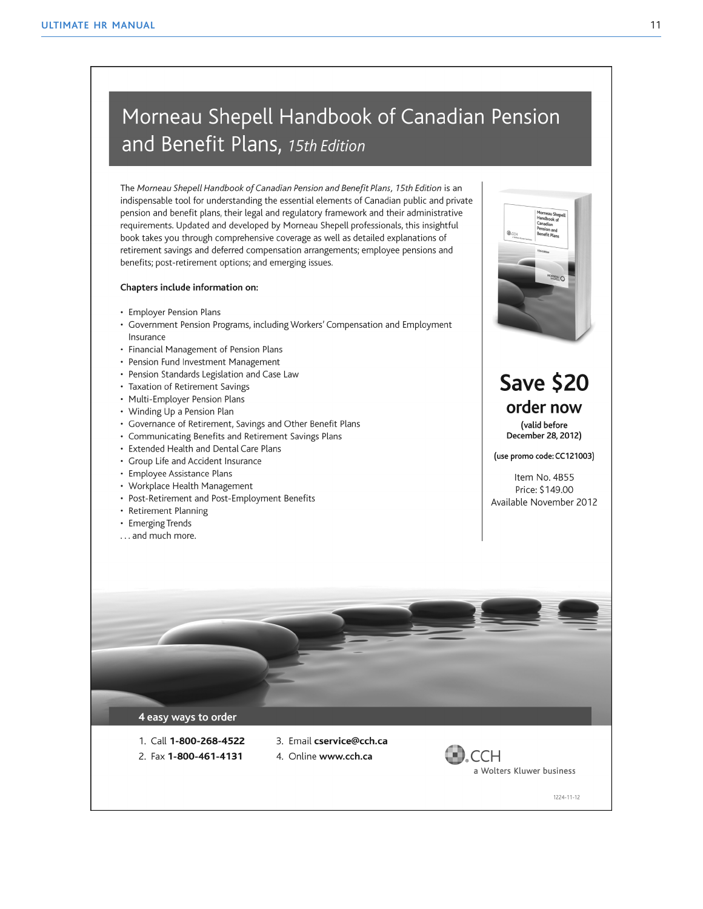### Morneau Shepell Handbook of Canadian Pension and Benefit Plans, 15th Edition

The Morneau Shepell Handbook of Canadian Pension and Benefit Plans, 15th Edition is an indispensable tool for understanding the essential elements of Canadian public and private pension and benefit plans, their legal and regulatory framework and their administrative requirements. Updated and developed by Morneau Shepell professionals, this insightful book takes you through comprehensive coverage as well as detailed explanations of retirement savings and deferred compensation arrangements; employee pensions and benefits; post-retirement options; and emerging issues.

#### Chapters include information on:

- Employer Pension Plans
- Government Pension Programs, including Workers' Compensation and Employment Insurance
- Financial Management of Pension Plans
- Pension Fund Investment Management
- Pension Standards Legislation and Case Law
- Taxation of Retirement Savings
- Multi-Employer Pension Plans
- Winding Up a Pension Plan
- Governance of Retirement, Savings and Other Benefit Plans
- Communicating Benefits and Retirement Savings Plans
- Extended Health and Dental Care Plans
- Group Life and Accident Insurance
- Employee Assistance Plans
- Workplace Health Management
- Post-Retirement and Post-Employment Benefits
- Retirement Planning
- Emerging Trends
- ... and much more.



### **Save \$20** order now

(valid before December 28, 2012)

(use promo code: CC121003)

Item No. 4B55 Price: \$149.00 Available November 2012



- 1. Call 1-800-268-4522
- 2. Fax 1-800-461-4131
- 3. Email cservice@cch.ca
- 4. Online www.cch.ca